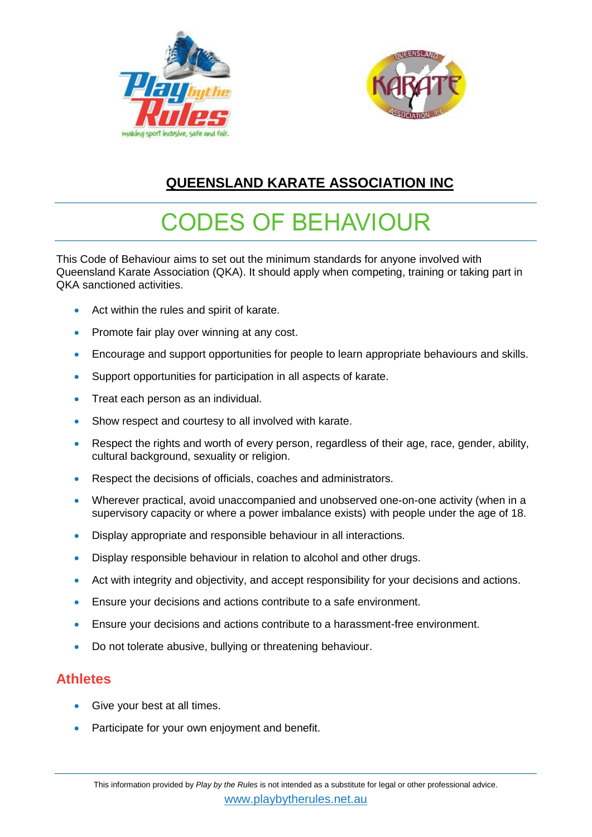



## **QUEENSLAND KARATE ASSOCIATION INC**

# CODES OF BEHAVIOUR

This Code of Behaviour aims to set out the minimum standards for anyone involved with Queensland Karate Association (QKA). It should apply when competing, training or taking part in QKA sanctioned activities.

- Act within the rules and spirit of karate.
- Promote fair play over winning at any cost.
- Encourage and support opportunities for people to learn appropriate behaviours and skills.
- Support opportunities for participation in all aspects of karate.
- **Treat each person as an individual.**
- Show respect and courtesy to all involved with karate.
- Respect the rights and worth of every person, regardless of their age, race, gender, ability, cultural background, sexuality or religion.
- Respect the decisions of officials, coaches and administrators.
- Wherever practical, avoid unaccompanied and unobserved one-on-one activity (when in a supervisory capacity or where a power imbalance exists) with people under the age of 18.
- Display appropriate and responsible behaviour in all interactions.
- Display responsible behaviour in relation to alcohol and other drugs.
- Act with integrity and objectivity, and accept responsibility for your decisions and actions.
- Ensure your decisions and actions contribute to a safe environment.
- Ensure your decisions and actions contribute to a harassment-free environment.
- Do not tolerate abusive, bullying or threatening behaviour.

#### **Athletes**

- Give your best at all times.
- Participate for your own enjoyment and benefit.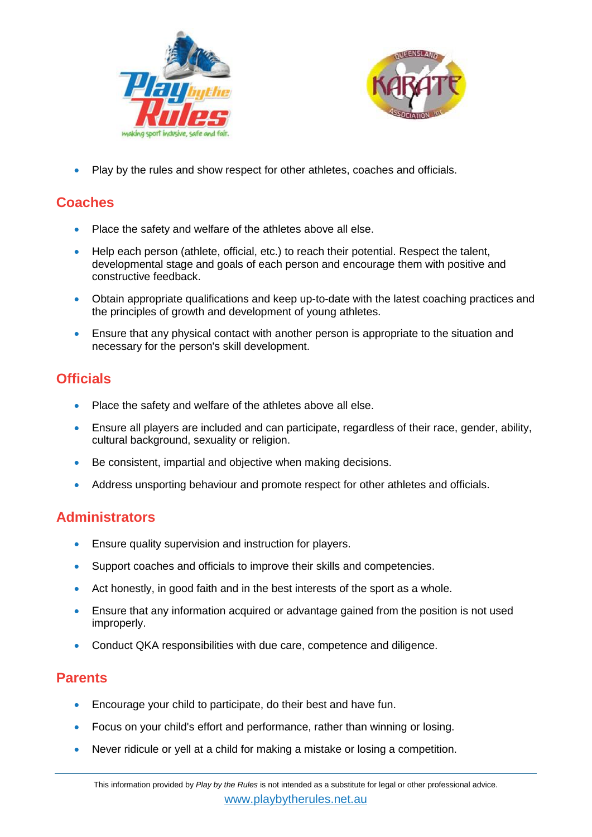



Play by the rules and show respect for other athletes, coaches and officials.

#### **Coaches**

- Place the safety and welfare of the athletes above all else.
- Help each person (athlete, official, etc.) to reach their potential. Respect the talent, developmental stage and goals of each person and encourage them with positive and constructive feedback.
- Obtain appropriate qualifications and keep up-to-date with the latest coaching practices and the principles of growth and development of young athletes.
- Ensure that any physical contact with another person is appropriate to the situation and necessary for the person's skill development.

## **Officials**

- Place the safety and welfare of the athletes above all else.
- Ensure all players are included and can participate, regardless of their race, gender, ability, cultural background, sexuality or religion.
- Be consistent, impartial and objective when making decisions.
- Address unsporting behaviour and promote respect for other athletes and officials.

#### **Administrators**

- **Ensure quality supervision and instruction for players.**
- Support coaches and officials to improve their skills and competencies.
- Act honestly, in good faith and in the best interests of the sport as a whole.
- Ensure that any information acquired or advantage gained from the position is not used improperly.
- Conduct QKA responsibilities with due care, competence and diligence.

#### **Parents**

- Encourage your child to participate, do their best and have fun.
- Focus on your child's effort and performance, rather than winning or losing.
- Never ridicule or yell at a child for making a mistake or losing a competition.